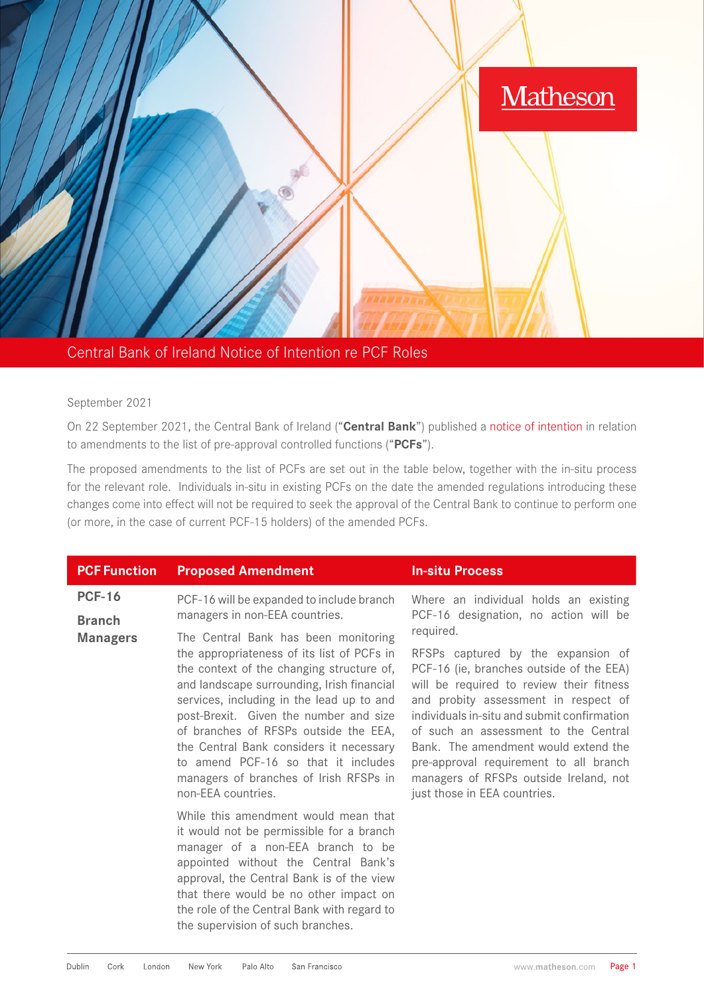

Central Bank of Ireland Notice of Intention re PCF Roles

## September 2021

On 22 September 2021, the Central Bank of Ireland ("**Central Bank**") published a [notice of intention](https://www.centralbank.ie/docs/default-source/regulation/how-we-regulate/fitness-probity/news/amendments-to-list-of-pre-approval-controlled-functions.pdf?sfvrsn=6) in relation to amendments to the list of pre-approval controlled functions ("**PCFs**").

The proposed amendments to the list of PCFs are set out in the table below, together with the in-situ process for the relevant role. Individuals in-situ in existing PCFs on the date the amended regulations introducing these changes come into effect will not be required to seek the approval of the Central Bank to continue to perform one (or more, in the case of current PCF-15 holders) of the amended PCFs.

| <b>PCF Function</b>                               | <b>Proposed Amendment</b>                                                                                                                                                                                                                                                                                                                                                                                                                                       | <b>In-situ Process</b>                                                                                                                                                                                                                                                                                                                                                                                                             |
|---------------------------------------------------|-----------------------------------------------------------------------------------------------------------------------------------------------------------------------------------------------------------------------------------------------------------------------------------------------------------------------------------------------------------------------------------------------------------------------------------------------------------------|------------------------------------------------------------------------------------------------------------------------------------------------------------------------------------------------------------------------------------------------------------------------------------------------------------------------------------------------------------------------------------------------------------------------------------|
| <b>PCF-16</b><br><b>Branch</b><br><b>Managers</b> | PCF-16 will be expanded to include branch<br>managers in non-EEA countries.                                                                                                                                                                                                                                                                                                                                                                                     | Where an individual holds an existing<br>PCF-16 designation, no action will be                                                                                                                                                                                                                                                                                                                                                     |
|                                                   | The Central Bank has been monitoring<br>the appropriateness of its list of PCFs in<br>the context of the changing structure of,<br>and landscape surrounding, Irish financial<br>services, including in the lead up to and<br>post-Brexit. Given the number and size<br>of branches of RFSPs outside the EEA,<br>the Central Bank considers it necessary<br>to amend PCF-16 so that it includes<br>managers of branches of Irish RFSPs in<br>non-EEA countries. | required.<br>RFSPs captured by the expansion of<br>PCF-16 (ie, branches outside of the EEA)<br>will be required to review their fitness<br>and probity assessment in respect of<br>individuals in-situ and submit confirmation<br>of such an assessment to the Central<br>Bank. The amendment would extend the<br>pre-approval requirement to all branch<br>managers of RFSPs outside Ireland, not<br>just those in EEA countries. |
|                                                   | While this amendment would mean that<br>it would not be permissible for a branch<br>manager of a non-EEA branch to be<br>appointed without the Central Bank's<br>approval, the Central Bank is of the view<br>that there would be no other impact on<br>the role of the Central Bank with regard to<br>the supervision of such branches.                                                                                                                        |                                                                                                                                                                                                                                                                                                                                                                                                                                    |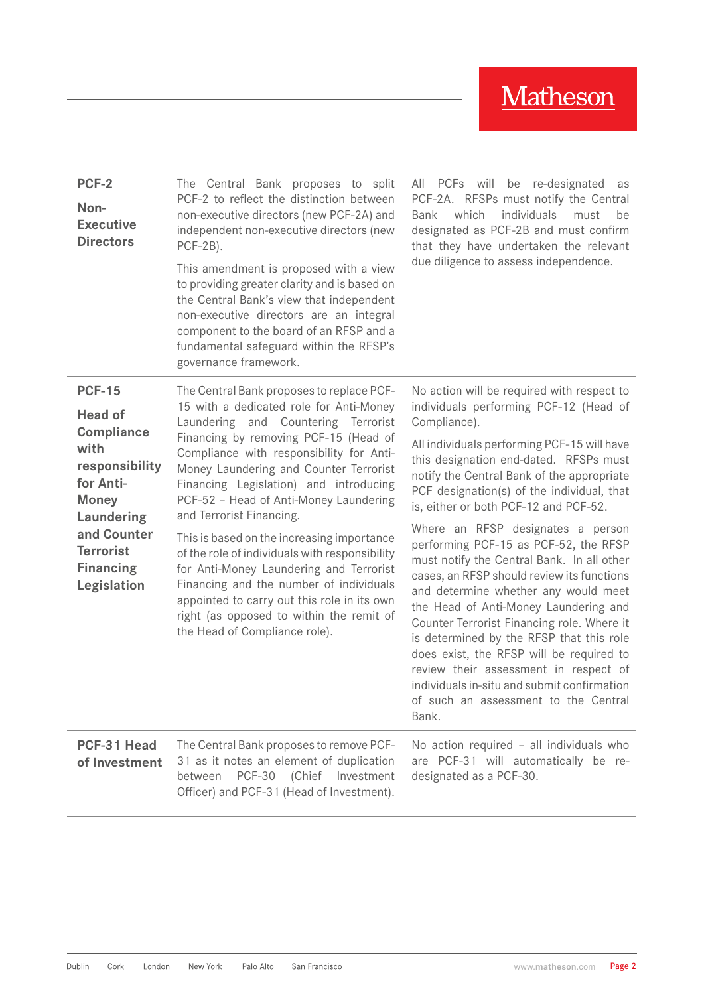| PCF-2<br>Non-<br><b>Executive</b><br><b>Directors</b>                                                                                                                                                  | The Central Bank proposes to split<br>PCF-2 to reflect the distinction between<br>non-executive directors (new PCF-2A) and<br>independent non-executive directors (new<br>PCF-2B).<br>This amendment is proposed with a view<br>to providing greater clarity and is based on<br>the Central Bank's view that independent<br>non-executive directors are an integral<br>component to the board of an RFSP and a<br>fundamental safeguard within the RFSP's<br>governance framework.                                                                                                                                                                                                           | All PCFs will be re-designated as<br>PCF-2A. RFSPs must notify the Central<br>individuals<br>which<br>Bank<br>must<br>be<br>designated as PCF-2B and must confirm<br>that they have undertaken the relevant<br>due diligence to assess independence.                                                                                                                                                                                                                                                                                                                                                                                                                                                                                                                                                                                                                         |
|--------------------------------------------------------------------------------------------------------------------------------------------------------------------------------------------------------|----------------------------------------------------------------------------------------------------------------------------------------------------------------------------------------------------------------------------------------------------------------------------------------------------------------------------------------------------------------------------------------------------------------------------------------------------------------------------------------------------------------------------------------------------------------------------------------------------------------------------------------------------------------------------------------------|------------------------------------------------------------------------------------------------------------------------------------------------------------------------------------------------------------------------------------------------------------------------------------------------------------------------------------------------------------------------------------------------------------------------------------------------------------------------------------------------------------------------------------------------------------------------------------------------------------------------------------------------------------------------------------------------------------------------------------------------------------------------------------------------------------------------------------------------------------------------------|
| <b>PCF-15</b><br><b>Head of</b><br><b>Compliance</b><br>with<br>responsibility<br>for Anti-<br><b>Money</b><br><b>Laundering</b><br>and Counter<br><b>Terrorist</b><br><b>Financing</b><br>Legislation | The Central Bank proposes to replace PCF-<br>15 with a dedicated role for Anti-Money<br>Laundering and Countering Terrorist<br>Financing by removing PCF-15 (Head of<br>Compliance with responsibility for Anti-<br>Money Laundering and Counter Terrorist<br>Financing Legislation) and introducing<br>PCF-52 - Head of Anti-Money Laundering<br>and Terrorist Financing.<br>This is based on the increasing importance<br>of the role of individuals with responsibility<br>for Anti-Money Laundering and Terrorist<br>Financing and the number of individuals<br>appointed to carry out this role in its own<br>right (as opposed to within the remit of<br>the Head of Compliance role). | No action will be required with respect to<br>individuals performing PCF-12 (Head of<br>Compliance).<br>All individuals performing PCF-15 will have<br>this designation end-dated. RFSPs must<br>notify the Central Bank of the appropriate<br>PCF designation(s) of the individual, that<br>is, either or both PCF-12 and PCF-52.<br>Where an RFSP designates a person<br>performing PCF-15 as PCF-52, the RFSP<br>must notify the Central Bank. In all other<br>cases, an RFSP should review its functions<br>and determine whether any would meet<br>the Head of Anti-Money Laundering and<br>Counter Terrorist Financing role. Where it<br>is determined by the RFSP that this role<br>does exist, the RFSP will be required to<br>review their assessment in respect of<br>individuals in-situ and submit confirmation<br>of such an assessment to the Central<br>Bank. |
| PCF-31 Head<br>of Investment                                                                                                                                                                           | The Central Bank proposes to remove PCF-<br>31 as it notes an element of duplication<br><b>PCF-30</b><br>(Chief<br>Investment<br>between<br>Officer) and PCF-31 (Head of Investment).                                                                                                                                                                                                                                                                                                                                                                                                                                                                                                        | No action required - all individuals who<br>are PCF-31 will automatically be re-<br>designated as a PCF-30.                                                                                                                                                                                                                                                                                                                                                                                                                                                                                                                                                                                                                                                                                                                                                                  |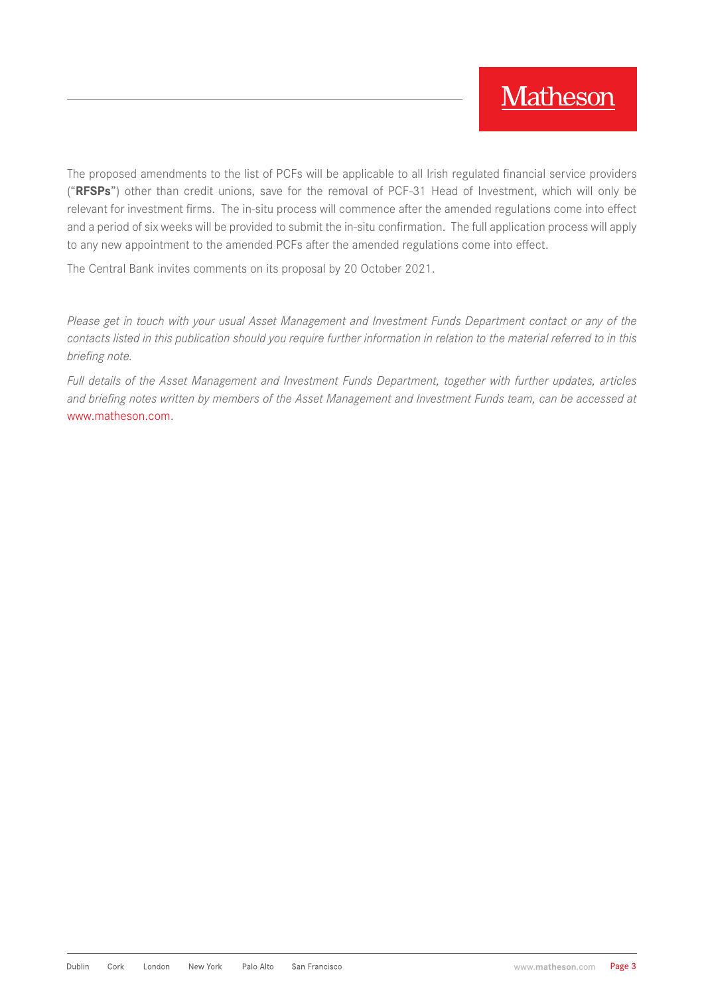The proposed amendments to the list of PCFs will be applicable to all Irish regulated financial service providers ("**RFSPs**") other than credit unions, save for the removal of PCF-31 Head of Investment, which will only be relevant for investment firms. The in-situ process will commence after the amended regulations come into effect and a period of six weeks will be provided to submit the in-situ confirmation. The full application process will apply to any new appointment to the amended PCFs after the amended regulations come into effect.

The Central Bank invites comments on its proposal by 20 October 2021.

*Please get in touch with your usual Asset Management and Investment Funds Department contact or any of the contacts listed in this publication should you require further information in relation to the material referred to in this briefing note.*

*Full details of the Asset Management and Investment Funds Department, together with further updates, articles and briefing notes written by members of the Asset Management and Investment Funds team, can be accessed at* [www.matheson.com](http://www.matheson.com).